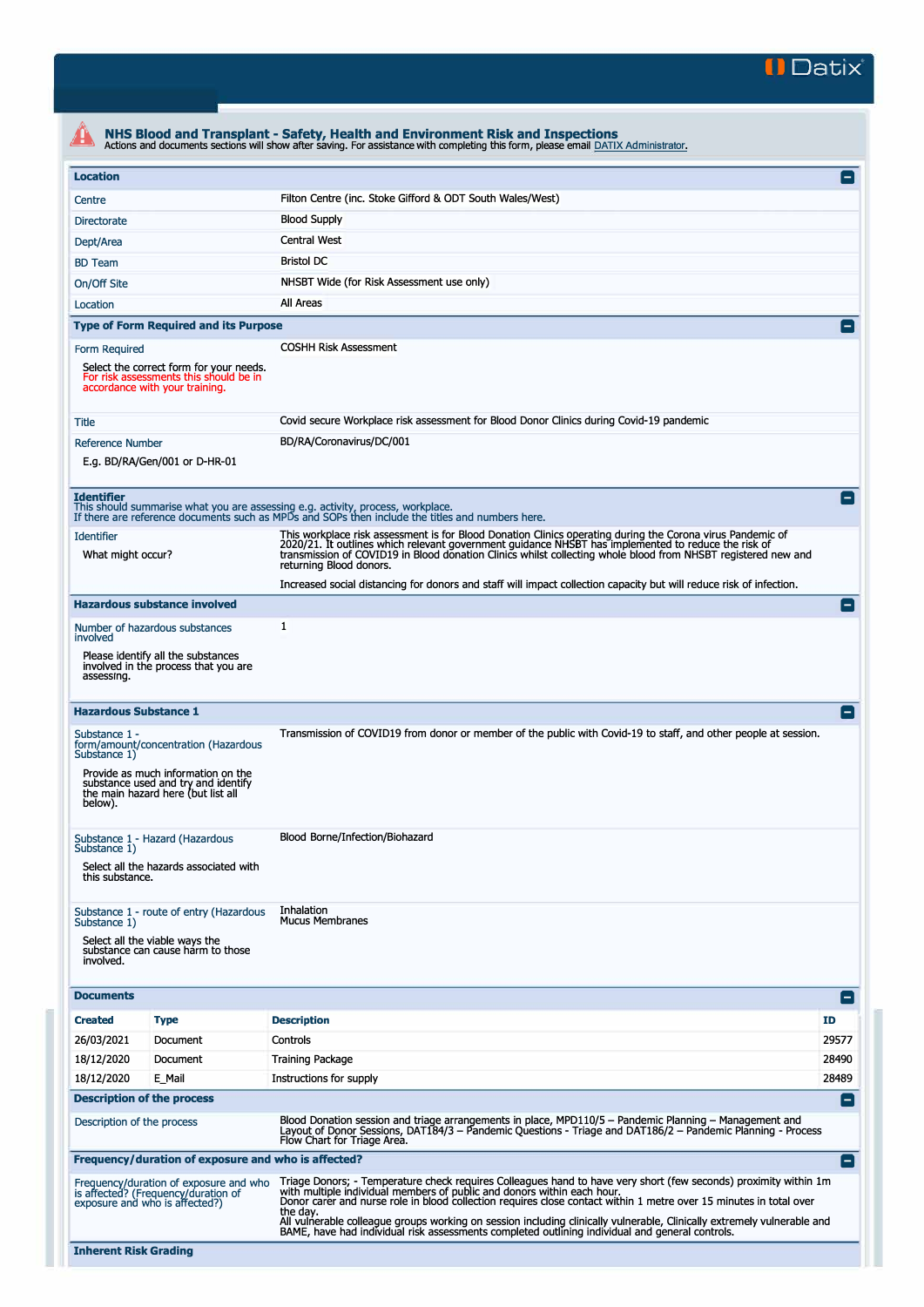

|                                                                                                                                                                                                     | NHS Blood and Transplant - Safety, Health and Environment Risk and Inspections<br>Actions and documents sections will show after saving. For assistance with completing this form, please email DATIX Administrator.                                                                                                                                                                                                                                     |                 |  |  |  |
|-----------------------------------------------------------------------------------------------------------------------------------------------------------------------------------------------------|----------------------------------------------------------------------------------------------------------------------------------------------------------------------------------------------------------------------------------------------------------------------------------------------------------------------------------------------------------------------------------------------------------------------------------------------------------|-----------------|--|--|--|
| <b>Location</b>                                                                                                                                                                                     |                                                                                                                                                                                                                                                                                                                                                                                                                                                          | $\blacksquare$  |  |  |  |
| Centre                                                                                                                                                                                              | Filton Centre (inc. Stoke Gifford & ODT South Wales/West)                                                                                                                                                                                                                                                                                                                                                                                                |                 |  |  |  |
| <b>Directorate</b>                                                                                                                                                                                  | <b>Blood Supply</b>                                                                                                                                                                                                                                                                                                                                                                                                                                      |                 |  |  |  |
| Dept/Area                                                                                                                                                                                           | Central West                                                                                                                                                                                                                                                                                                                                                                                                                                             |                 |  |  |  |
| <b>BD</b> Team                                                                                                                                                                                      | <b>Bristol DC</b>                                                                                                                                                                                                                                                                                                                                                                                                                                        |                 |  |  |  |
| On/Off Site                                                                                                                                                                                         | NHSBT Wide (for Risk Assessment use only)                                                                                                                                                                                                                                                                                                                                                                                                                |                 |  |  |  |
| Location                                                                                                                                                                                            | All Areas                                                                                                                                                                                                                                                                                                                                                                                                                                                |                 |  |  |  |
| <b>Type of Form Required and its Purpose</b>                                                                                                                                                        |                                                                                                                                                                                                                                                                                                                                                                                                                                                          | $=$             |  |  |  |
| Form Required                                                                                                                                                                                       | <b>COSHH Risk Assessment</b>                                                                                                                                                                                                                                                                                                                                                                                                                             |                 |  |  |  |
| Select the correct form for your needs.<br>For risk assessments this should be in<br>accordance with your training.                                                                                 |                                                                                                                                                                                                                                                                                                                                                                                                                                                          |                 |  |  |  |
| Title                                                                                                                                                                                               | Covid secure Workplace risk assessment for Blood Donor Clinics during Covid-19 pandemic                                                                                                                                                                                                                                                                                                                                                                  |                 |  |  |  |
| <b>Reference Number</b><br>E.g. BD/RA/Gen/001 or D-HR-01                                                                                                                                            | BD/RA/Coronavirus/DC/001                                                                                                                                                                                                                                                                                                                                                                                                                                 |                 |  |  |  |
| <b>Identifier</b><br>This should summarise what you are assessing e.g. activity, process, workplace.                                                                                                | If there are reference documents such as MPDs and SOPs then include the titles and numbers here.                                                                                                                                                                                                                                                                                                                                                         |                 |  |  |  |
| <b>Identifier</b><br>What might occur?                                                                                                                                                              | This workplace risk assessment is for Blood Donation Clinics operating during the Corona virus Pandemic of<br>2020/21. It outlines which relevant government guidance NHSBT has implemented to reduce the risk of<br>transmission of COVID19 in Blood donation Clinics whilst collecting whole blood from NHSBT registered new and<br>returning Blood donors.                                                                                            |                 |  |  |  |
|                                                                                                                                                                                                     | Increased social distancing for donors and staff will impact collection capacity but will reduce risk of infection.                                                                                                                                                                                                                                                                                                                                      |                 |  |  |  |
| <b>Hazardous substance involved</b>                                                                                                                                                                 |                                                                                                                                                                                                                                                                                                                                                                                                                                                          | Е.              |  |  |  |
| Number of hazardous substances<br>involved                                                                                                                                                          | 1                                                                                                                                                                                                                                                                                                                                                                                                                                                        |                 |  |  |  |
| Please identify all the substances<br>involved in the process that you are<br>assessing.                                                                                                            |                                                                                                                                                                                                                                                                                                                                                                                                                                                          |                 |  |  |  |
| <b>Hazardous Substance 1</b>                                                                                                                                                                        |                                                                                                                                                                                                                                                                                                                                                                                                                                                          | E               |  |  |  |
| Substance 1 -<br>form/amount/concentration (Hazardous<br>Substance 1)<br>Provide as much information on the<br>substance used and try and identify<br>the main hazard here (but list all<br>below). | Transmission of COVID19 from donor or member of the public with Covid-19 to staff, and other people at session.                                                                                                                                                                                                                                                                                                                                          |                 |  |  |  |
| Substance 1 - Hazard (Hazardous<br>Substance 1)<br>Select all the hazards associated with<br>this substance.                                                                                        | Blood Borne/Infection/Biohazard                                                                                                                                                                                                                                                                                                                                                                                                                          |                 |  |  |  |
| Substance 1 - route of entry (Hazardous<br>Substance 1)<br>Select all the viable ways the<br>substance can cause harm to those<br>involved.                                                         | Inhalation<br><b>Mucus Membranes</b>                                                                                                                                                                                                                                                                                                                                                                                                                     |                 |  |  |  |
| <b>Documents</b>                                                                                                                                                                                    |                                                                                                                                                                                                                                                                                                                                                                                                                                                          | $\blacksquare$  |  |  |  |
| <b>Created</b><br><b>Type</b>                                                                                                                                                                       | <b>Description</b>                                                                                                                                                                                                                                                                                                                                                                                                                                       | ID              |  |  |  |
| 26/03/2021<br>Document                                                                                                                                                                              | Controls                                                                                                                                                                                                                                                                                                                                                                                                                                                 | 29577           |  |  |  |
| 18/12/2020<br>Document                                                                                                                                                                              | <b>Training Package</b>                                                                                                                                                                                                                                                                                                                                                                                                                                  | 28490           |  |  |  |
| 18/12/2020<br>E_Mail                                                                                                                                                                                | Instructions for supply                                                                                                                                                                                                                                                                                                                                                                                                                                  | 28489           |  |  |  |
| <b>Description of the process</b>                                                                                                                                                                   |                                                                                                                                                                                                                                                                                                                                                                                                                                                          | $\vert$ $\vert$ |  |  |  |
| Description of the process                                                                                                                                                                          | Blood Donation session and triage arrangements in place, MPD110/5 - Pandemic Planning - Management and<br>Layout of Donor Sessions, DAT184/3 - Pandemic Questions - Triage and DAT186/2 - Pandemic Planning - Process<br>Flow Chart for Triage Area.                                                                                                                                                                                                     |                 |  |  |  |
| Frequency/duration of exposure and who is affected?                                                                                                                                                 |                                                                                                                                                                                                                                                                                                                                                                                                                                                          | E               |  |  |  |
| Frequency/duration of exposure and who<br>is affected? (Frequency/duration of<br>exposure and who is affected?)                                                                                     | Triage Donors; - Temperature check requires Colleagues hand to have very short (few seconds) proximity within 1m<br>with multiple individual members of public and donors within each hour.<br>Donor carer and nurse role in blood collection requires close contact within 1 metre over 15 minutes in total over<br>the day.<br>All vulnerable colleague groups working on session including clinically vulnerable, Clinically extremely vulnerable and |                 |  |  |  |
| <b>Inherent Risk Grading</b>                                                                                                                                                                        | BAME, have had individual risk assessments completed outlining individual and general controls.                                                                                                                                                                                                                                                                                                                                                          |                 |  |  |  |